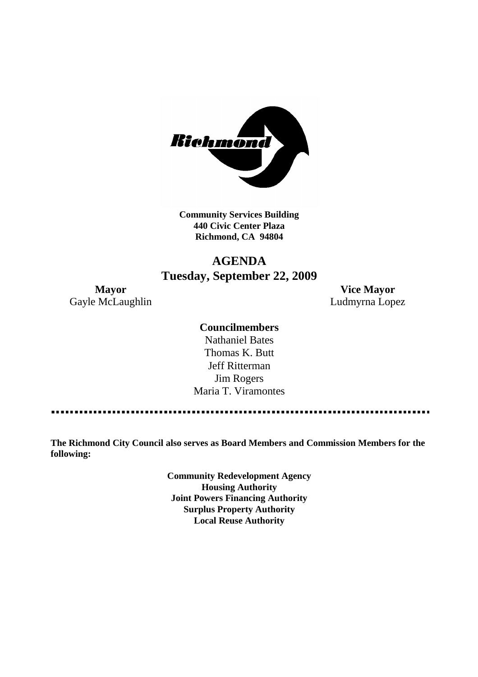

**Community Services Building 440 Civic Center Plaza Richmond, CA 94804**

# **AGENDA Tuesday, September 22, 2009**

Gayle McLaughlin **Ludmyrna Lopez** 

**Mayor Vice Mayor**

### **Councilmembers**

Nathaniel Bates Thomas K. Butt Jeff Ritterman Jim Rogers Maria T. Viramontes

**The Richmond City Council also serves as Board Members and Commission Members for the following:**

> **Community Redevelopment Agency Housing Authority Joint Powers Financing Authority Surplus Property Authority Local Reuse Authority**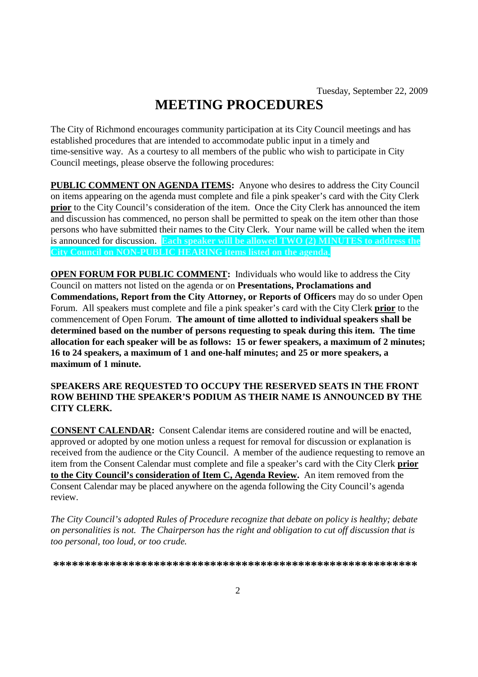# **MEETING PROCEDURES**

The City of Richmond encourages community participation at its City Council meetings and has established procedures that are intended to accommodate public input in a timely and time-sensitive way. As a courtesy to all members of the public who wish to participate in City Council meetings, please observe the following procedures:

**PUBLIC COMMENT ON AGENDA ITEMS:** Anyone who desires to address the City Council on items appearing on the agenda must complete and file a pink speaker's card with the City Clerk **prior** to the City Council's consideration of the item. Once the City Clerk has announced the item and discussion has commenced, no person shall be permitted to speak on the item other than those persons who have submitted their names to the City Clerk. Your name will be called when the item is announced for discussion. **Each speaker will be allowed TWO (2) MINUTES to address the City Council on NON-PUBLIC HEARING items listed on the agenda.**

**OPEN FORUM FOR PUBLIC COMMENT:** Individuals who would like to address the City Council on matters not listed on the agenda or on **Presentations, Proclamations and Commendations, Report from the City Attorney, or Reports of Officers** may do so under Open Forum. All speakers must complete and file a pink speaker's card with the City Clerk **prior** to the commencement of Open Forum. **The amount of time allotted to individual speakers shall be determined based on the number of persons requesting to speak during this item. The time allocation for each speaker will be as follows: 15 or fewer speakers, a maximum of 2 minutes; 16 to 24 speakers, a maximum of 1 and one-half minutes; and 25 or more speakers, a maximum of 1 minute.**

#### **SPEAKERS ARE REQUESTED TO OCCUPY THE RESERVED SEATS IN THE FRONT ROW BEHIND THE SPEAKER'S PODIUM AS THEIR NAME IS ANNOUNCED BY THE CITY CLERK.**

**CONSENT CALENDAR:** Consent Calendar items are considered routine and will be enacted, approved or adopted by one motion unless a request for removal for discussion or explanation is received from the audience or the City Council. A member of the audience requesting to remove an item from the Consent Calendar must complete and file a speaker's card with the City Clerk **prior to the City Council's consideration of Item C, Agenda Review.** An item removed from the Consent Calendar may be placed anywhere on the agenda following the City Council's agenda review.

*The City Council's adopted Rules of Procedure recognize that debate on policy is healthy; debate on personalities is not. The Chairperson has the right and obligation to cut off discussion that is too personal, too loud, or too crude.*

**\*\*\*\*\*\*\*\*\*\*\*\*\*\*\*\*\*\*\*\*\*\*\*\*\*\*\*\*\*\*\*\*\*\*\*\*\*\*\*\*\*\*\*\*\*\*\*\*\*\*\*\*\*\*\*\*\*\***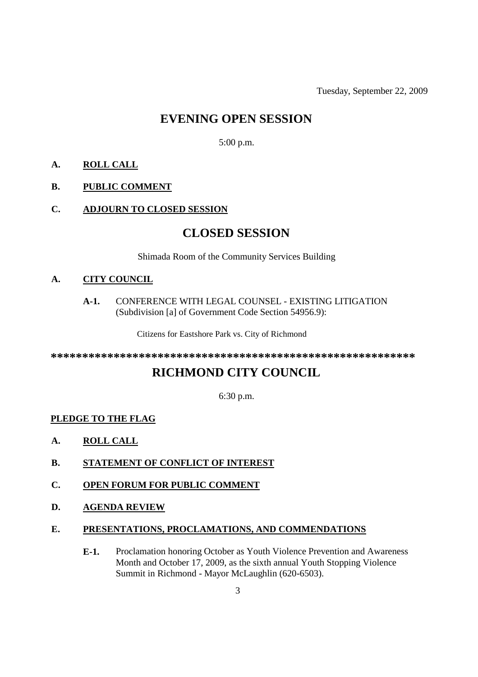Tuesday, September 22, 2009

# **EVENING OPEN SESSION**

5:00 p.m.

## **A. ROLL CALL**

### **B. PUBLIC COMMENT**

#### **C. ADJOURN TO CLOSED SESSION**

# **CLOSED SESSION**

Shimada Room of the Community Services Building

#### **A. CITY COUNCIL**

#### **A-1.** CONFERENCE WITH LEGAL COUNSEL - EXISTING LITIGATION (Subdivision [a] of Government Code Section 54956.9):

Citizens for Eastshore Park vs. City of Richmond

**\*\*\*\*\*\*\*\*\*\*\*\*\*\*\*\*\*\*\*\*\*\*\*\*\*\*\*\*\*\*\*\*\*\*\*\*\*\*\*\*\*\*\*\*\*\*\*\*\*\*\*\*\*\*\*\*\*\***

# **RICHMOND CITY COUNCIL**

6:30 p.m.

### **PLEDGE TO THE FLAG**

- **A. ROLL CALL**
- **B. STATEMENT OF CONFLICT OF INTEREST**
- **C. OPEN FORUM FOR PUBLIC COMMENT**
- **D. AGENDA REVIEW**

#### **E. PRESENTATIONS, PROCLAMATIONS, AND COMMENDATIONS**

**E-1.** Proclamation honoring October as Youth Violence Prevention and Awareness Month and October 17, 2009, as the sixth annual Youth Stopping Violence Summit in Richmond - Mayor McLaughlin (620-6503).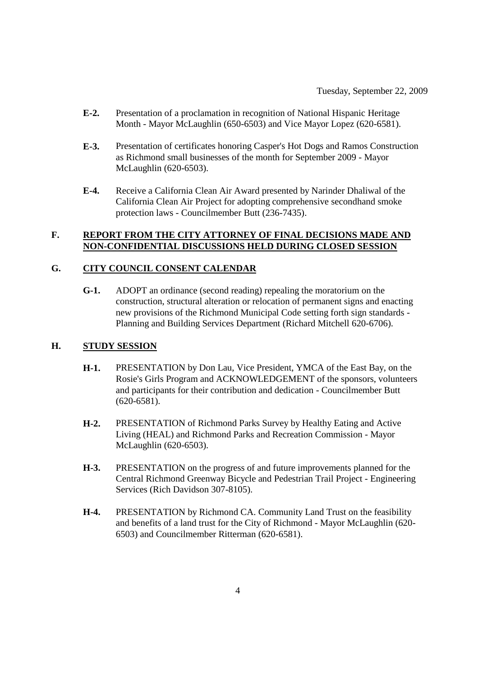- **E-2.** Presentation of a proclamation in recognition of National Hispanic Heritage Month - Mayor McLaughlin (650-6503) and Vice Mayor Lopez (620-6581).
- **E-3.** Presentation of certificates honoring Casper's Hot Dogs and Ramos Construction as Richmond small businesses of the month for September 2009 - Mayor McLaughlin (620-6503).
- **E-4.** Receive a California Clean Air Award presented by Narinder Dhaliwal of the California Clean Air Project for adopting comprehensive secondhand smoke protection laws - Councilmember Butt (236-7435).

#### **F. REPORT FROM THE CITY ATTORNEY OF FINAL DECISIONS MADE AND NON-CONFIDENTIAL DISCUSSIONS HELD DURING CLOSED SESSION**

### **G. CITY COUNCIL CONSENT CALENDAR**

**G-1.** ADOPT an ordinance (second reading) repealing the moratorium on the construction, structural alteration or relocation of permanent signs and enacting new provisions of the Richmond Municipal Code setting forth sign standards - Planning and Building Services Department (Richard Mitchell 620-6706).

#### **H. STUDY SESSION**

- **H-1.** PRESENTATION by Don Lau, Vice President, YMCA of the East Bay, on the Rosie's Girls Program and ACKNOWLEDGEMENT of the sponsors, volunteers and participants for their contribution and dedication - Councilmember Butt (620-6581).
- **H-2.** PRESENTATION of Richmond Parks Survey by Healthy Eating and Active Living (HEAL) and Richmond Parks and Recreation Commission - Mayor McLaughlin (620-6503).
- **H-3.** PRESENTATION on the progress of and future improvements planned for the Central Richmond Greenway Bicycle and Pedestrian Trail Project - Engineering Services (Rich Davidson 307-8105).
- **H-4.** PRESENTATION by Richmond CA. Community Land Trust on the feasibility and benefits of a land trust for the City of Richmond - Mayor McLaughlin (620- 6503) and Councilmember Ritterman (620-6581).